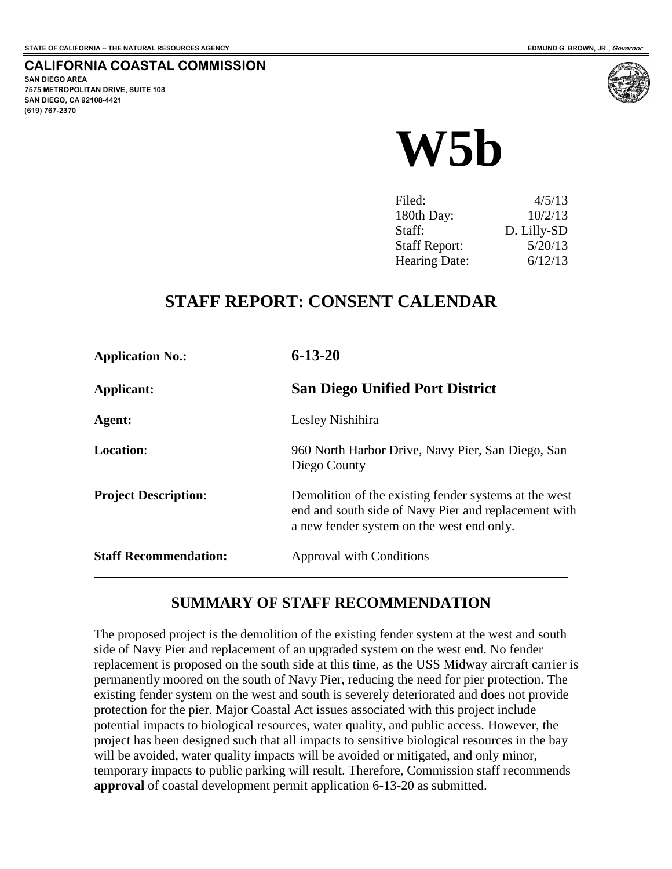**CALIFORNIA COASTAL COMMISSION**

**SAN DIEGO AREA 7575 METROPOLITAN DRIVE, SUITE 103 SAN DIEGO, CA 92108-4421 (619) 767-2370**



| Filed:               | 4/5/13      |
|----------------------|-------------|
| 180th Day:           | 10/2/13     |
| Staff:               | D. Lilly-SD |
| <b>Staff Report:</b> | 5/20/13     |
| <b>Hearing Date:</b> | 6/12/13     |

## **STAFF REPORT: CONSENT CALENDAR**

| <b>Application No.:</b>      | $6 - 13 - 20$                                                                                                                                              |  |
|------------------------------|------------------------------------------------------------------------------------------------------------------------------------------------------------|--|
| Applicant:                   | <b>San Diego Unified Port District</b>                                                                                                                     |  |
| Agent:                       | Lesley Nishihira                                                                                                                                           |  |
| <b>Location:</b>             | 960 North Harbor Drive, Navy Pier, San Diego, San<br>Diego County                                                                                          |  |
| <b>Project Description:</b>  | Demolition of the existing fender systems at the west<br>end and south side of Navy Pier and replacement with<br>a new fender system on the west end only. |  |
| <b>Staff Recommendation:</b> | Approval with Conditions                                                                                                                                   |  |

## **SUMMARY OF STAFF RECOMMENDATION**

The proposed project is the demolition of the existing fender system at the west and south side of Navy Pier and replacement of an upgraded system on the west end. No fender replacement is proposed on the south side at this time, as the USS Midway aircraft carrier is permanently moored on the south of Navy Pier, reducing the need for pier protection. The existing fender system on the west and south is severely deteriorated and does not provide protection for the pier. Major Coastal Act issues associated with this project include potential impacts to biological resources, water quality, and public access. However, the project has been designed such that all impacts to sensitive biological resources in the bay will be avoided, water quality impacts will be avoided or mitigated, and only minor, temporary impacts to public parking will result. Therefore, Commission staff recommends **approval** of coastal development permit application 6-13-20 as submitted.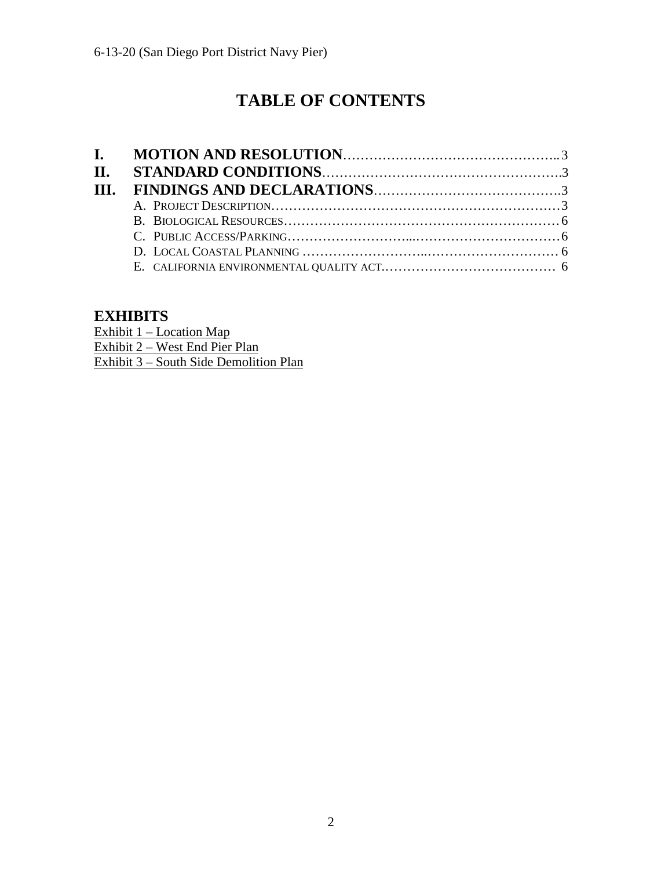# **TABLE OF CONTENTS**

## **EXHIBITS**

Exhibit 1 – Location Map Exhibit 2 – West End Pier Plan Exhibit 3 – South Side Demolition Plan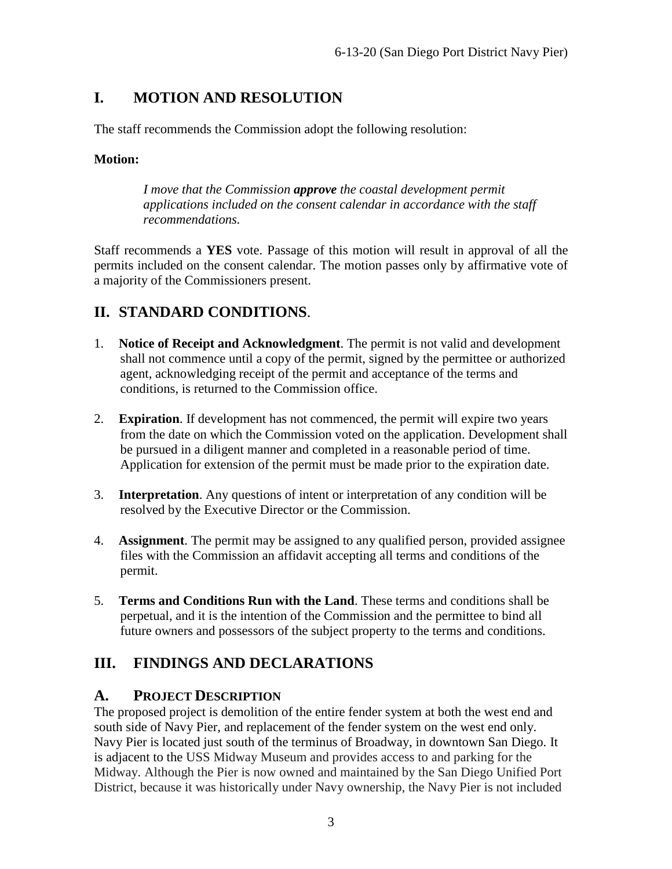## <span id="page-2-0"></span>**I. MOTION AND RESOLUTION**

The staff recommends the Commission adopt the following resolution:

#### **Motion:**

*I move that the Commission approve the coastal development permit applications included on the consent calendar in accordance with the staff recommendations.*

Staff recommends a **YES** vote. Passage of this motion will result in approval of all the permits included on the consent calendar. The motion passes only by affirmative vote of a majority of the Commissioners present.

## <span id="page-2-1"></span>**II. STANDARD CONDITIONS**.

- 1. **Notice of Receipt and Acknowledgment**. The permit is not valid and development shall not commence until a copy of the permit, signed by the permittee or authorized agent, acknowledging receipt of the permit and acceptance of the terms and conditions, is returned to the Commission office.
- 2. **Expiration**. If development has not commenced, the permit will expire two years from the date on which the Commission voted on the application. Development shall be pursued in a diligent manner and completed in a reasonable period of time. Application for extension of the permit must be made prior to the expiration date.
- 3. **Interpretation**. Any questions of intent or interpretation of any condition will be resolved by the Executive Director or the Commission.
- 4. **Assignment**. The permit may be assigned to any qualified person, provided assignee files with the Commission an affidavit accepting all terms and conditions of the permit.
- 5. **Terms and Conditions Run with the Land**. These terms and conditions shall be perpetual, and it is the intention of the Commission and the permittee to bind all future owners and possessors of the subject property to the terms and conditions.

## <span id="page-2-2"></span>**III. FINDINGS AND DECLARATIONS**

#### <span id="page-2-3"></span>**A. PROJECT DESCRIPTION**

The proposed project is demolition of the entire fender system at both the west end and south side of Navy Pier, and replacement of the fender system on the west end only. Navy Pier is located just south of the terminus of Broadway, in downtown San Diego. It is adjacent to the USS Midway Museum and provides access to and parking for the Midway. Although the Pier is now owned and maintained by the San Diego Unified Port District, because it was historically under Navy ownership, the Navy Pier is not included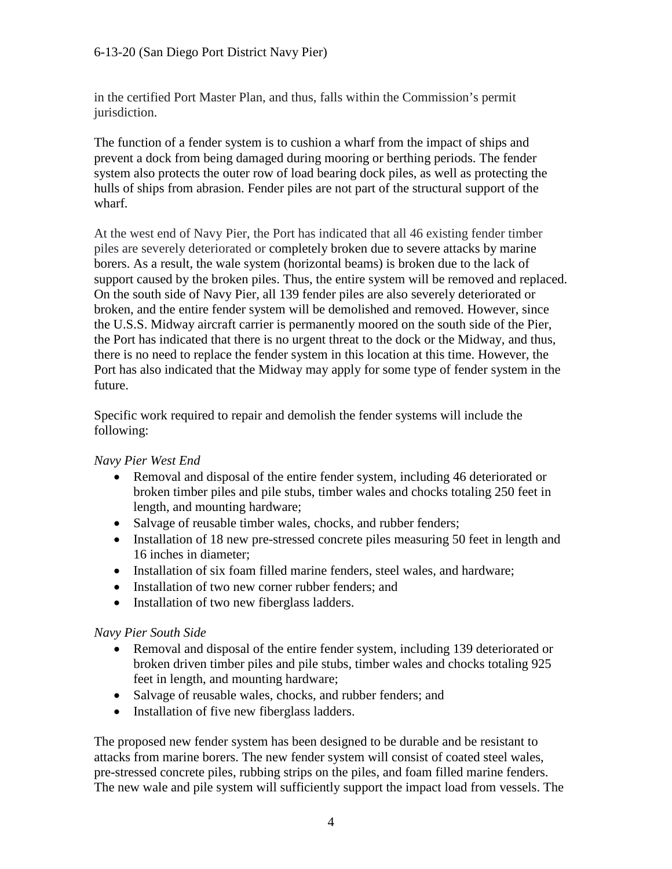in the certified Port Master Plan, and thus, falls within the Commission's permit jurisdiction.

The function of a fender system is to cushion a wharf from the impact of ships and prevent a dock from being damaged during mooring or berthing periods. The fender system also protects the outer row of load bearing dock piles, as well as protecting the hulls of ships from abrasion. Fender piles are not part of the structural support of the wharf.

At the west end of Navy Pier, the Port has indicated that all 46 existing fender timber piles are severely deteriorated or completely broken due to severe attacks by marine borers. As a result, the wale system (horizontal beams) is broken due to the lack of support caused by the broken piles. Thus, the entire system will be removed and replaced. On the south side of Navy Pier, all 139 fender piles are also severely deteriorated or broken, and the entire fender system will be demolished and removed. However, since the U.S.S. Midway aircraft carrier is permanently moored on the south side of the Pier, the Port has indicated that there is no urgent threat to the dock or the Midway, and thus, there is no need to replace the fender system in this location at this time. However, the Port has also indicated that the Midway may apply for some type of fender system in the future.

Specific work required to repair and demolish the fender systems will include the following:

#### *Navy Pier West End*

- Removal and disposal of the entire fender system, including 46 deteriorated or broken timber piles and pile stubs, timber wales and chocks totaling 250 feet in length, and mounting hardware;
- Salvage of reusable timber wales, chocks, and rubber fenders;
- Installation of 18 new pre-stressed concrete piles measuring 50 feet in length and 16 inches in diameter;
- Installation of six foam filled marine fenders, steel wales, and hardware;
- Installation of two new corner rubber fenders; and
- Installation of two new fiberglass ladders.

#### *Navy Pier South Side*

- Removal and disposal of the entire fender system, including 139 deteriorated or broken driven timber piles and pile stubs, timber wales and chocks totaling 925 feet in length, and mounting hardware;
- Salvage of reusable wales, chocks, and rubber fenders; and
- Installation of five new fiberglass ladders.

The proposed new fender system has been designed to be durable and be resistant to attacks from marine borers. The new fender system will consist of coated steel wales, pre-stressed concrete piles, rubbing strips on the piles, and foam filled marine fenders. The new wale and pile system will sufficiently support the impact load from vessels. The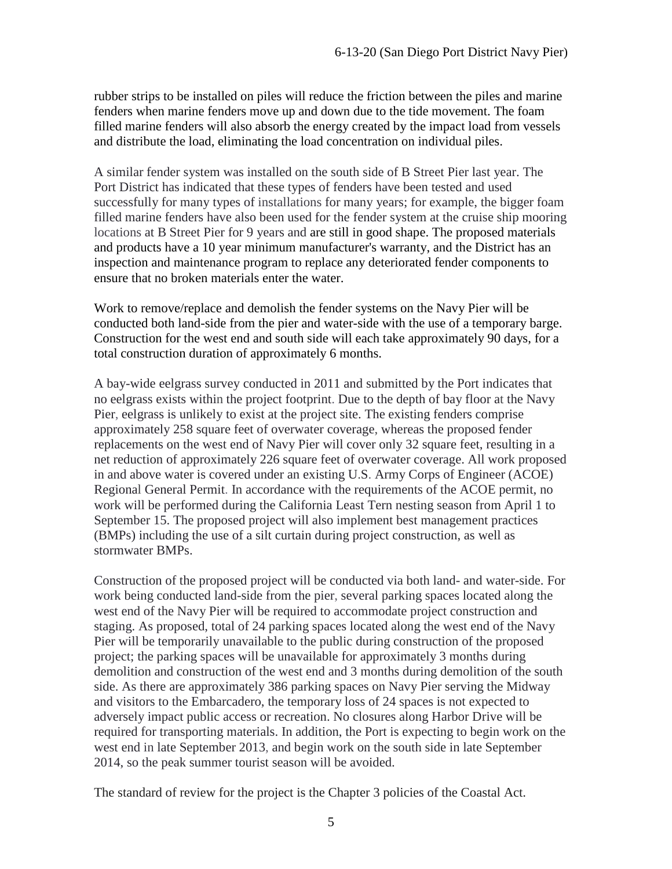rubber strips to be installed on piles will reduce the friction between the piles and marine fenders when marine fenders move up and down due to the tide movement. The foam filled marine fenders will also absorb the energy created by the impact load from vessels and distribute the load, eliminating the load concentration on individual piles.

A similar fender system was installed on the south side of B Street Pier last year. The Port District has indicated that these types of fenders have been tested and used successfully for many types of installations for many years; for example, the bigger foam filled marine fenders have also been used for the fender system at the cruise ship mooring locations at B Street Pier for 9 years and are still in good shape. The proposed materials and products have a 10 year minimum manufacturer's warranty, and the District has an inspection and maintenance program to replace any deteriorated fender components to ensure that no broken materials enter the water.

Work to remove/replace and demolish the fender systems on the Navy Pier will be conducted both land-side from the pier and water-side with the use of a temporary barge. Construction for the west end and south side will each take approximately 90 days, for a total construction duration of approximately 6 months.

A bay-wide eelgrass survey conducted in 2011 and submitted by the Port indicates that no eelgrass exists within the project footprint. Due to the depth of bay floor at the Navy Pier, eelgrass is unlikely to exist at the project site. The existing fenders comprise approximately 258 square feet of overwater coverage, whereas the proposed fender replacements on the west end of Navy Pier will cover only 32 square feet, resulting in a net reduction of approximately 226 square feet of overwater coverage. All work proposed in and above water is covered under an existing U.S. Army Corps of Engineer (ACOE) Regional General Permit. In accordance with the requirements of the ACOE permit, no work will be performed during the California Least Tern nesting season from April 1 to September 15. The proposed project will also implement best management practices (BMPs) including the use of a silt curtain during project construction, as well as stormwater BMPs.

Construction of the proposed project will be conducted via both land- and water-side. For work being conducted land-side from the pier, several parking spaces located along the west end of the Navy Pier will be required to accommodate project construction and staging. As proposed, total of 24 parking spaces located along the west end of the Navy Pier will be temporarily unavailable to the public during construction of the proposed project; the parking spaces will be unavailable for approximately 3 months during demolition and construction of the west end and 3 months during demolition of the south side. As there are approximately 386 parking spaces on Navy Pier serving the Midway and visitors to the Embarcadero, the temporary loss of 24 spaces is not expected to adversely impact public access or recreation. No closures along Harbor Drive will be required for transporting materials. In addition, the Port is expecting to begin work on the west end in late September 2013, and begin work on the south side in late September 2014, so the peak summer tourist season will be avoided.

The standard of review for the project is the Chapter 3 policies of the Coastal Act.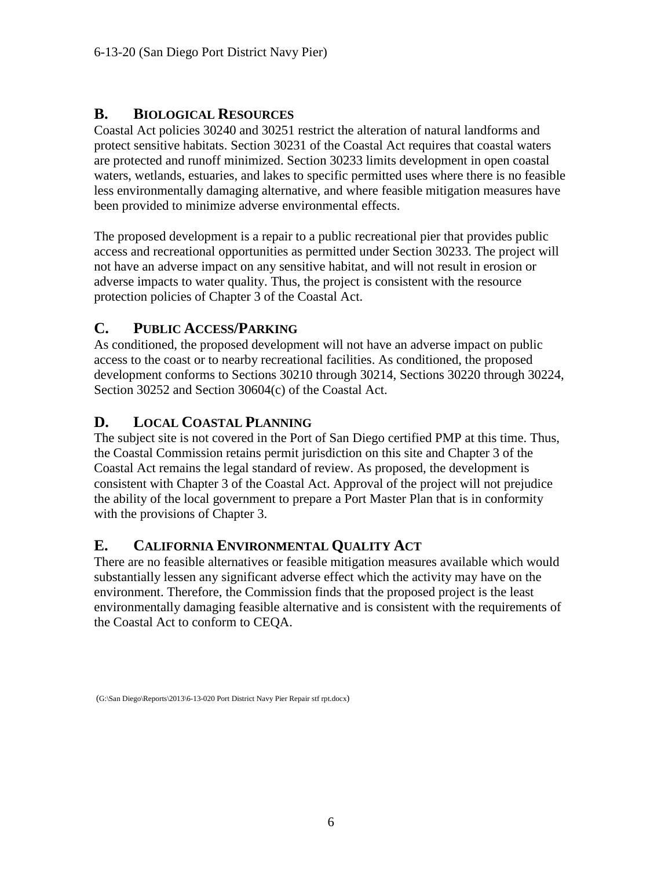#### <span id="page-5-0"></span>**B. BIOLOGICAL RESOURCES**

Coastal Act policies 30240 and 30251 restrict the alteration of natural landforms and protect sensitive habitats. Section 30231 of the Coastal Act requires that coastal waters are protected and runoff minimized. Section 30233 limits development in open coastal waters, wetlands, estuaries, and lakes to specific permitted uses where there is no feasible less environmentally damaging alternative, and where feasible mitigation measures have been provided to minimize adverse environmental effects.

The proposed development is a repair to a public recreational pier that provides public access and recreational opportunities as permitted under Section 30233. The project will not have an adverse impact on any sensitive habitat, and will not result in erosion or adverse impacts to water quality. Thus, the project is consistent with the resource protection policies of Chapter 3 of the Coastal Act.

## <span id="page-5-1"></span>**C. PUBLIC ACCESS/PARKING**

As conditioned, the proposed development will not have an adverse impact on public access to the coast or to nearby recreational facilities. As conditioned, the proposed development conforms to Sections 30210 through 30214, Sections 30220 through 30224, Section 30252 and Section 30604(c) of the Coastal Act.

#### <span id="page-5-2"></span>**D. LOCAL COASTAL PLANNING**

The subject site is not covered in the Port of San Diego certified PMP at this time. Thus, the Coastal Commission retains permit jurisdiction on this site and Chapter 3 of the Coastal Act remains the legal standard of review. As proposed, the development is consistent with Chapter 3 of the Coastal Act. Approval of the project will not prejudice the ability of the local government to prepare a Port Master Plan that is in conformity with the provisions of Chapter 3.

#### <span id="page-5-3"></span>**E. CALIFORNIA ENVIRONMENTAL QUALITY ACT**

There are no feasible alternatives or feasible mitigation measures available which would substantially lessen any significant adverse effect which the activity may have on the environment. Therefore, the Commission finds that the proposed project is the least environmentally damaging feasible alternative and is consistent with the requirements of the Coastal Act to conform to CEQA.

<sup>(</sup>G:\San Diego\Reports\2013\6-13-020 Port District Navy Pier Repair stf rpt.docx)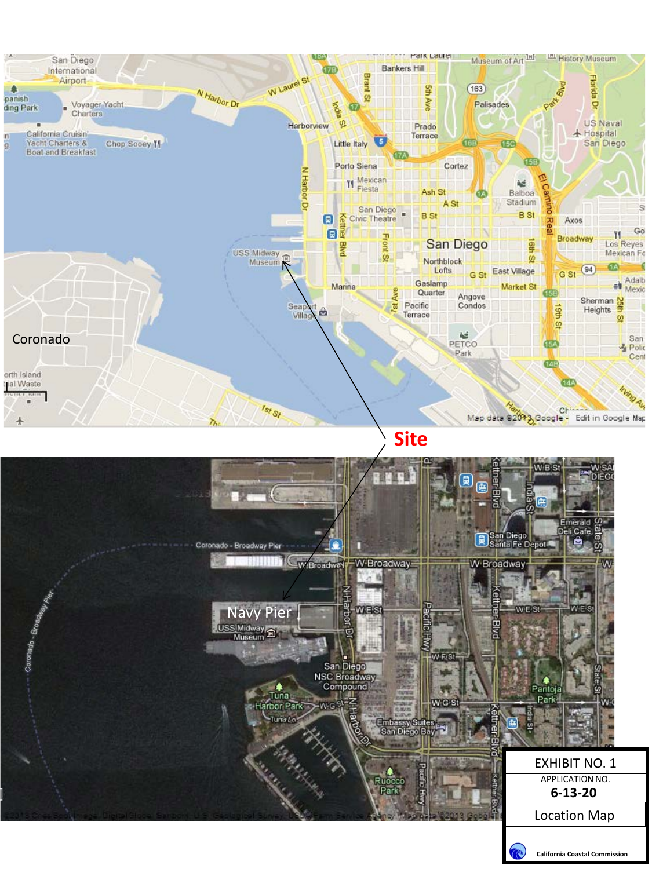

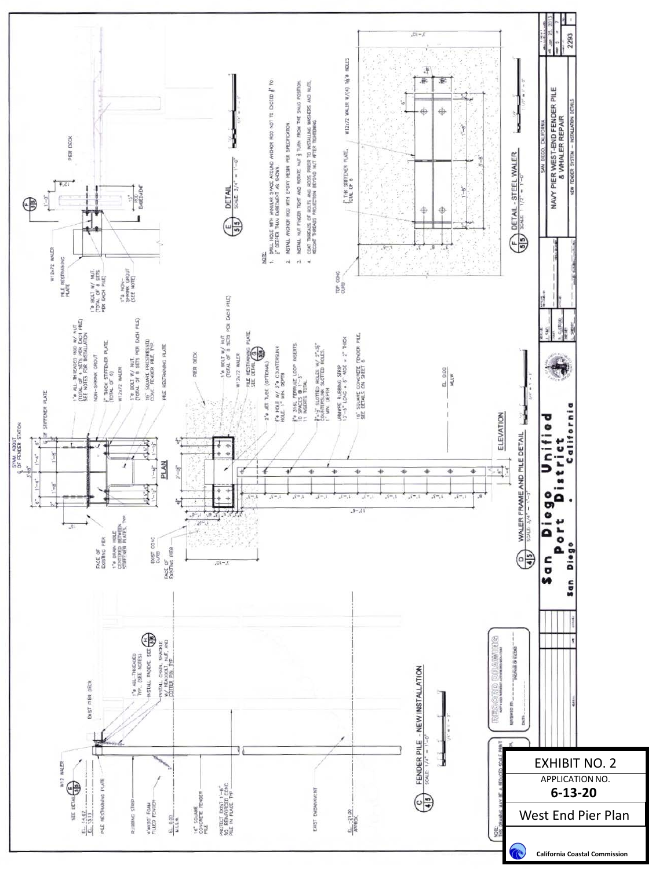